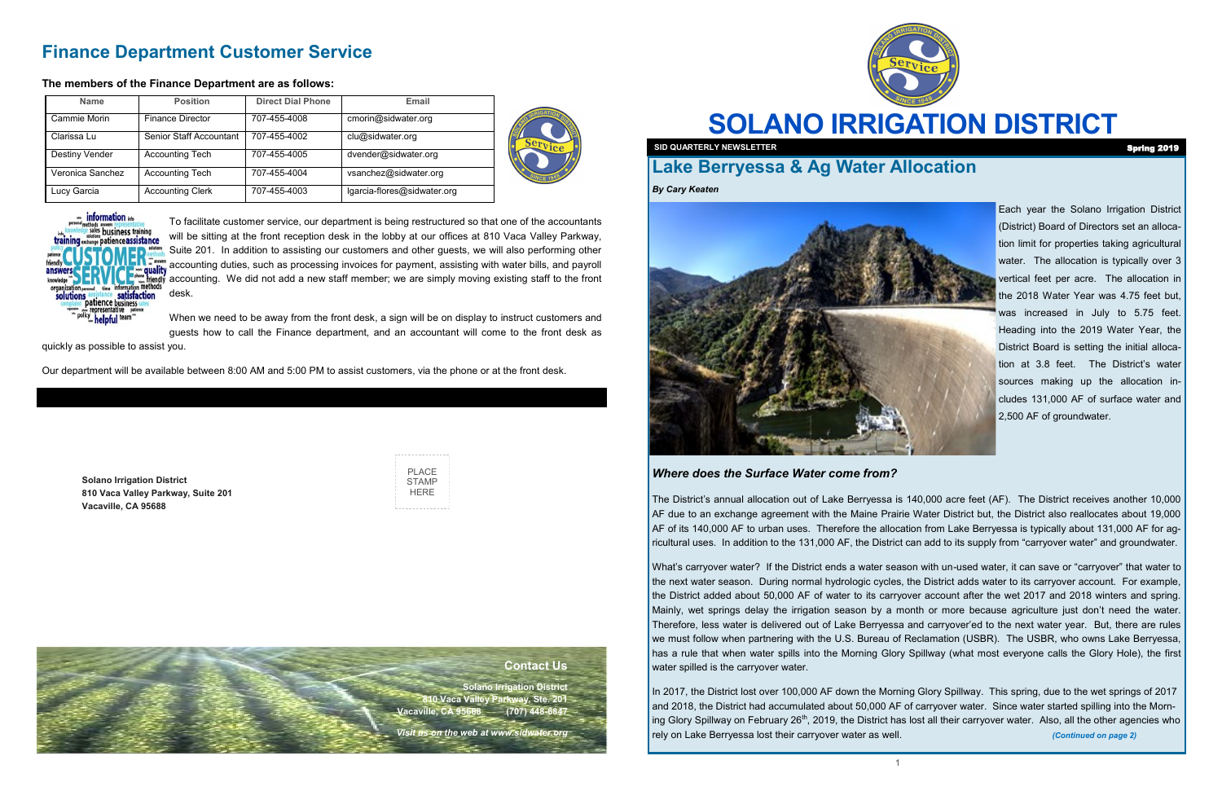

# **SOLANO IRRIGATION DISTRICT**

PLACE **STAMP HERE** 

**Solano Irrigation District 810 Vaca Valley Parkway, Suite 201 Vacaville, CA 95688**

# **Finance Department Customer Service**

#### **The members of the Finance Department are as follows:**

To facilitate customer service, our department is being restructured so that one of the accountants will be sitting at the front reception desk in the lobby at our offices at 810 Vaca Valley Parkway, Suite 201. In addition to assisting our customers and other guests, we will also performing other accounting duties, such as processing invoices for payment, assisting with water bills, and payroll accounting. We did not add a new staff member; we are simply moving existing staff to the front desk.

When we need to be away from the front desk, a sign will be on display to instruct customers and guests how to call the Finance department, and an accountant will come to the front desk as

quickly as possible to assist you.

Our department will be available between 8:00 AM and 5:00 PM to assist customers, via the phone or at the front desk.

| <b>Name</b>      | <b>Position</b>         | <b>Direct Dial Phone</b> | Email                       |  |
|------------------|-------------------------|--------------------------|-----------------------------|--|
| Cammie Morin     | <b>Finance Director</b> | 707-455-4008             | cmorin@sidwater.org         |  |
| Clarissa Lu      | Senior Staff Accountant | 707-455-4002             | clu@sidwater.org            |  |
| Destiny Vender   | <b>Accounting Tech</b>  | 707-455-4005             | dvender@sidwater.org        |  |
| Veronica Sanchez | <b>Accounting Tech</b>  | 707-455-4004             | vsanchez@sidwater.org       |  |
| Lucy Garcia      | <b>Accounting Clerk</b> | 707-455-4003             | lgarcia-flores@sidwater.org |  |





#### **Contact Us**

**Solano Irrigation District 810 Vaca Valley Parkway, Ste. 201 Vacaville, CA 95688 (707) 448-6847** 

*Visit us on the web at www.sidwater.org*



**SID QUARTERLY NEWSLETTER Spring 2019** 

## **Lake Berryessa & Ag Water Allocation**

*By Cary Keaten*



Each year the Solano Irrigation District (District) Board of Directors set an allocation limit for properties taking agricultural water. The allocation is typically over 3 vertical feet per acre. The allocation in the 2018 Water Year was 4.75 feet but, was increased in July to 5.75 feet. Heading into the 2019 Water Year, the District Board is setting the initial allocation at 3.8 feet. The District's water sources making up the allocation includes 131,000 AF of surface water and 2,500 AF of groundwater.

### *Where does the Surface Water come from?*

The District's annual allocation out of Lake Berryessa is 140,000 acre feet (AF). The District receives another 10,000 AF due to an exchange agreement with the Maine Prairie Water District but, the District also reallocates about 19,000 AF of its 140,000 AF to urban uses. Therefore the allocation from Lake Berryessa is typically about 131,000 AF for agricultural uses. In addition to the 131,000 AF, the District can add to its supply from "carryover water" and groundwater.

What's carryover water? If the District ends a water season with un-used water, it can save or "carryover" that water to the next water season. During normal hydrologic cycles, the District adds water to its carryover account. For example, the District added about 50,000 AF of water to its carryover account after the wet 2017 and 2018 winters and spring. Mainly, wet springs delay the irrigation season by a month or more because agriculture just don't need the water. Therefore, less water is delivered out of Lake Berryessa and carryover'ed to the next water year. But, there are rules we must follow when partnering with the U.S. Bureau of Reclamation (USBR). The USBR, who owns Lake Berryessa, has a rule that when water spills into the Morning Glory Spillway (what most everyone calls the Glory Hole), the first water spilled is the carryover water.

In 2017, the District lost over 100,000 AF down the Morning Glory Spillway. This spring, due to the wet springs of 2017 and 2018, the District had accumulated about 50,000 AF of carryover water. Since water started spilling into the Morning Glory Spillway on February 26<sup>th</sup>, 2019, the District has lost all their carryover water. Also, all the other agencies who rely on Lake Berryessa lost their carryover water as well. *(Continued on page 2)*